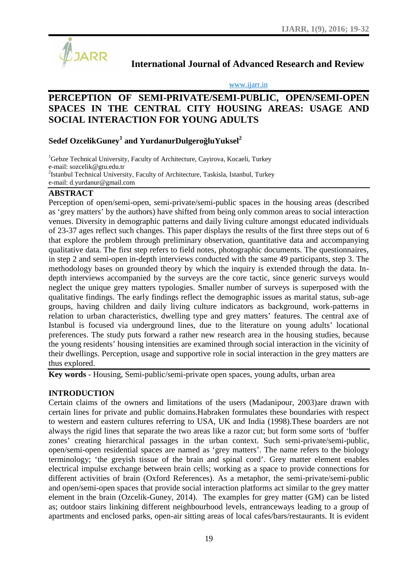

**International Journal of Advanced Research and Review**

www.ijarr.in

# **PERCEPTION OF SEMI-PRIVATE/SEMI-PUBLIC, OPEN/SEMI-OPEN SPACES IN THE CENTRAL CITY HOUSING AREAS: USAGE AND SOCIAL INTERACTION FOR YOUNG ADULTS** International Journal of Advanced Research and Review<br>
WWW.ijarr.in<br>
N OF SEMI-PRIVATE/SEMI-PUBLIC, OPEN/SEMI-OPEI<br>
THE CENTRAL CITY HOUSING AREAS: USAGE AN<br>
ERACTION FOR YOUNG ADULTS

## $\mathbf{S}$ edef OzcelikGuney $^1$  and  $\mathbf{Y}$ urdanur $\mathbf{D}$ ulger $\mathbf{o}$  lu $\mathbf{Y}$ uksel $^2$

<sup>1</sup>Gebze Technical University, Faculty of Architecture, Cayirova, Kocaeli, Turkey e-mail: sozcelik@gtu.edu.tr <sup>2</sup>Istanbul Technical University, Faculty of Architecture, Taskisla, Istanbul, Turkey e-mail: d.yurdanur@gmail.com

## **ABSTRACT**

Perception of open/semi-open, semi-private/semi-public spaces in the housing areas (described as 'grey matters' by the authors) have shifted from being only common areas to social interaction venues. Diversity in demographic patterns and daily living culture amongst educated individuals of 23-37 ages reflect such changes. This paper displays the results of the first three steps out of 6 that explore the problem through preliminary observation, quantitative data and accompanying qualitative data. The first step refers to field notes, photographic documents. The questionnaires, in step 2 and semi-open in-depth interviews conducted with the same 49 participants, step 3. The methodology bases on grounded theory by which the inquiry is extended through the data. In depth interviews accompanied by the surveys are the core tactic, since generic surveys would neglect the unique grey matters typologies. Smaller number of surveys is superposed with the qualitative findings. The early findings reflect the demographic issues as marital status, sub-age groups, having children and daily living culture indicators as background, work-patterns in relation to urban characteristics, dwelling type and grey matters' features. The central axe of relation to urban characteristics, dwelling type and grey matters' features. The central axe of<br>Istanbul is focused via underground lines, due to the literature on young adults' locational preferences. The study puts forward a rather new research area in the housing studies, because the young residents' housing intensities are examined through social interaction in the vicinity of the young residents' housing intensities are examined through social interaction in the vicinity of their dwellings. Perception, usage and supportive role in social interaction in the grey matters are thus explored. venues. Diversity in demographic patterns and daily living culture amongst educated individuon of 23-37 ages reflect such changes. This paper displays the results of the first three steps out of that explore the problem th Perception of open:/semi-open. semi-pivtaresmi-public spaces in the loosing areas (describining and energy and the proparation of opension of opension in the proparation of 2-3-37 ages reflect such the<br>negative in the prop

**Key words** - Housing, Semi-public/semi-private open spaces, young adults, urban area

#### **INTRODUCTION**

Certain claims of the owners and limitations of the users (Madanipour, 2003)are drawn with<br>certain lines for private and public domains.Habraken formulates these boundaries with respect<br>to western and eastern cultures refe certain lines for private and public domains.Habraken formulates these boundaries with respect to western and eastern cultures referring to USA, UK and India (1998).These boarders are not always the rigid lines that separate the two areas like a razor cut; but form some sorts of 'buffer zones' creating hierarchical passages in the urban context. Such semi-private/semi-public, open/semi-open residential spaces are named as 'grey matters'. The name refers to the biology terminology; 'the greyish tissue of the brain and spinal cord'. Grey matter element enables electrical impulse exchange between brain cells; working as a space to provide connections for different activities of brain (Oxford References). As a metaphor, the semi-private/semi-public and open/semi-open spaces that provide social interaction platforms act similar to the grey matter element in the brain (Ozcelik-Guney, 2014). The examples for grey matter (GM) can be listed as; outdoor stairs linkining different neighbourhood levels, entranceways leading to a group of apartments and enclosed parks, open-air sitting areas of local cafes/bars/restaurants. It is evident zones' creating hierarchical passages in the urban context. Such open/semi-open residential spaces are named as 'grey matters'. The terminology; 'the greyish tissue of the brain and spinal cord'. Gre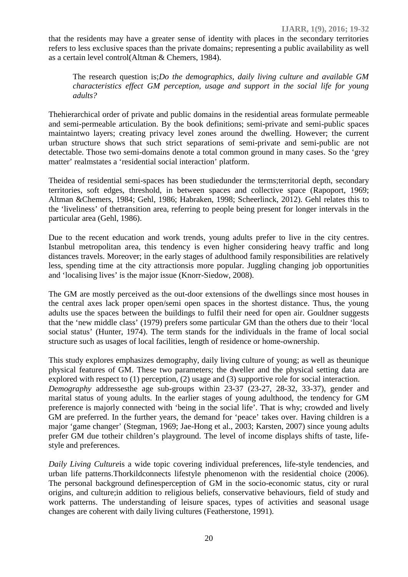that the residents may have a greater sense of identity with places in the secondary territories refers to less exclusive spaces than the private domains; representing a public availability as well as a certain level control(Altman & Chemers, 1984).

The research question is;*Do the demographics, daily living culture and available GM characteristics effect GM perception, usage and support in the social life for young adults?*

Thehierarchical order of private and public domains in the residential areas formulate permeable and semi-permeable articulation. By the book definitions; semi-private and semi-public spaces maintaintwo layers; creating privacy level zones around the dwelling. However; the current urban structure shows that such strict separations of semi-private and semi-public are not detectable. Those two semi-domains denote a total common ground in many cases. So the 'grey matter' realmstates a 'residential social interaction' platform.

Theidea of residential semi-spaces has been studiedunder the terms;territorial depth, secondary territories, soft edges, threshold, in between spaces and collective space (Rapoport, 1969; Altman &Chemers, 1984; Gehl, 1986; Habraken, 1998; Scheerlinck, 2012). Gehl relates this to the 'liveliness' of thetransition area, referring to people being present for longer intervals in the particular area (Gehl, 1986).

Due to the recent education and work trends, young adults prefer to live in the city centres. Istanbul metropolitan area, this tendency is even higher considering heavy traffic and long distances travels. Moreover; in the early stages of adulthood family responsibilities are relatively less, spending time at the city attractionsis more popular. Juggling changing job opportunities and 'localising lives' is the major issue (Knorr-Siedow, 2008).

The GM are mostly perceived as the out-door extensions of the dwellings since most houses in the central axes lack proper open/semi open spaces in the shortest distance. Thus, the young adults use the spaces between the buildings to fulfil their need for open air. Gouldner suggests that the 'new middle class' (1979) prefers some particular GM than the others due to their 'local social status' (Hunter, 1974). The term stands for the individuals in the frame of local social structure such as usages of local facilities, length of residence or home-ownership.

This study explores emphasizes demography, daily living culture of young; as well as theunique physical features of GM. These two parameters; the dweller and the physical setting data are explored with respect to (1) perception, (2) usage and (3) supportive role for social interaction. *Demography* addressesthe age sub-groups within 23-37 (23-27, 28-32, 33-37), gender and marital status of young adults. In the earlier stages of young adulthood, the tendency for GM preference is majorly connected with 'being in the social life'. That is why; crowded and lively GM are preferred. In the further years, the demand for 'peace' takes over. Having children is a major 'game changer' (Stegman, 1969; Jae-Hong et al., 2003; Karsten, 2007) since young adults prefer GM due totheir children's playground. The level of income displays shifts of taste, life style and preferences.

*Daily Living Culture*is a wide topic covering individual preferences, life-style tendencies, and urban life patterns.Thorkildconnects lifestyle phenomenon with the residential choice (2006). The personal background definesperception of GM in the socio-economic status, city or rural origins, and culture;in addition to religious beliefs, conservative behaviours, field of study and work patterns. The understanding of leisure spaces, types of activities and seasonal usage changes are coherent with daily living cultures (Featherstone, 1991).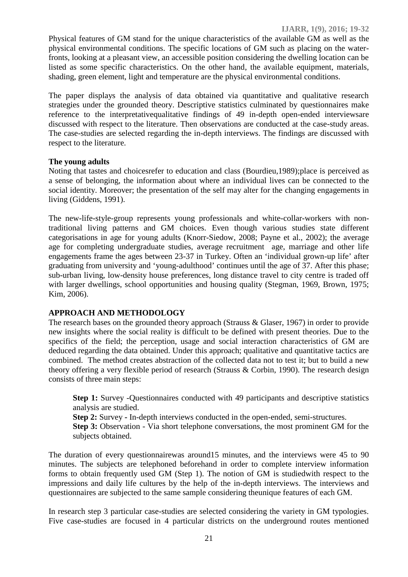Physical features of GM stand for the unique characteristics of the available GM as well as the physical environmental conditions. The specific locations of GM such as placing on the waterfronts, looking at a pleasant view, an accessible position considering the dwelling location can be listed as some specific characteristics. On the other hand, the available equipment, materials, shading, green element, light and temperature are the physical environmental conditions.

The paper displays the analysis of data obtained via quantitative and qualitative research strategies under the grounded theory. Descriptive statistics culminated by questionnaires make reference to the interpretativequalitative findings of 49 in-depth open-ended interviewsare discussed with respect to the literature. Then observations are conducted at the case-study areas. The case-studies are selected regarding the in-depth interviews. The findings are discussed with respect to the literature.

#### **The young adults**

Noting that tastes and choicesrefer to education and class (Bourdieu,1989);place is perceived as a sense of belonging, the information about where an individual lives can be connected to the social identity. Moreover; the presentation of the self may alter for the changing engagements in living (Giddens, 1991).

The new-life-style-group represents young professionals and white-collar-workers with nontraditional living patterns and GM choices. Even though various studies state different categorisations in age for young adults (Knorr-Siedow, 2008; Payne et al., 2002); the average age for completing undergraduate studies, average recruitment age, marriage and other life engagements frame the ages between 23-37 in Turkey. Often an 'individual grown-up life' after graduating from university and 'young-adulthood' continues until the age of 37. After this phase; sub-urban living, low-density house preferences, long distance travel to city centre is traded off with larger dwellings, school opportunities and housing quality (Stegman, 1969, Brown, 1975; Kim, 2006).

#### **APPROACH AND METHODOLOGY**

The research bases on the grounded theory approach (Strauss & Glaser, 1967) in order to provide new insights where the social reality is difficult to be defined with present theories. Due to the specifics of the field; the perception, usage and social interaction characteristics of GM are deduced regarding the data obtained. Under this approach; qualitative and quantitative tactics are combined. The method creates abstraction of the collected data not to test it; but to build a new theory offering a very flexible period of research (Strauss & Corbin, 1990). The research design consists of three main steps:

**Step 1:** Survey -Questionnaires conducted with 49 participants and descriptive statistics analysis are studied.

**Step 2:** Survey **-** In-depth interviews conducted in the open-ended, semi-structures.

**Step 3:** Observation - Via short telephone conversations, the most prominent GM for the subjects obtained.

The duration of every questionnairewas around15 minutes, and the interviews were 45 to 90 minutes. The subjects are telephoned beforehand in order to complete interview information forms to obtain frequently used GM (Step 1). The notion of GM is studiedwith respect to the impressions and daily life cultures by the help of the in-depth interviews. The interviews and questionnaires are subjected to the same sample considering theunique features of each GM.

In research step 3 particular case-studies are selected considering the variety in GM typologies. Five case-studies are focused in 4 particular districts on the underground routes mentioned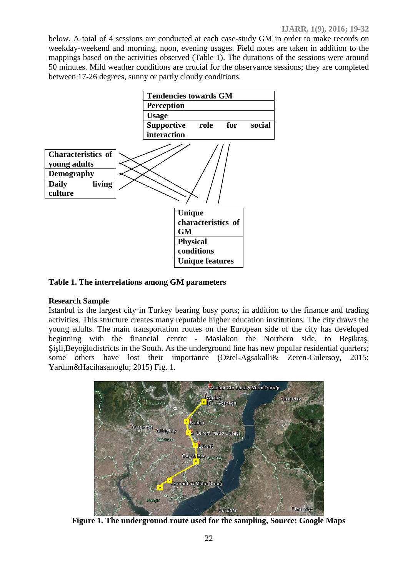below. A total of 4 sessions are conducted at each case-study GM in order to make records on weekday-weekend and morning, noon, evening usages. Field notes are taken in addition to the mappings based on the activities observed (Table 1). The durations of the sessions were around 50 minutes. Mild weather conditions are crucial for the observance sessions; they are completed between 17-26 degrees, sunny or partly cloudy conditions.



**Table 1. The interrelations among GM parameters**

## **Research Sample**

Istanbul is the largest city in Turkey bearing busy ports; in addition to the finance and trading activities. This structure creates many reputable higher education institutions. The city draws the young adults. The main transportation routes on the European side of the city has developed beginning with the financial centre - Maslakon the Northern side, to Be ikta, i li,Beyo ludistricts in the South. As the underground line has new popular residential quarters; some others have lost their importance (Oztel-Agsakalli& Zeren-Gulersoy, 2015; Yardım&Hacihasanoglu; 2015) Fig. 1.



**Figure 1. The underground route used for the sampling, Source: Google Maps**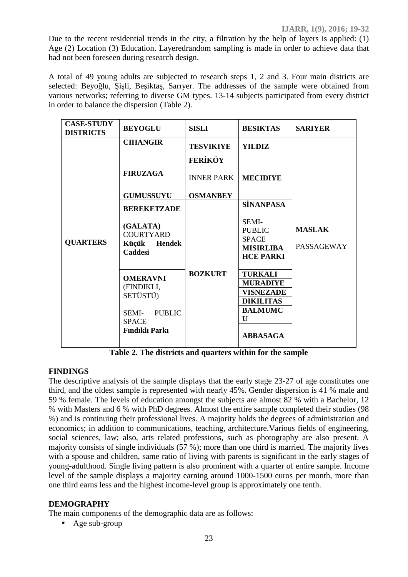Due to the recent residential trends in the city, a filtration by the help of layers is applied: (1) Age (2) Location (3) Education. Layeredrandom sampling is made in order to achieve data that had not been foreseen during research design.

A total of 49 young adults are subjected to research steps 1, 2 and 3. Four main districts are selected: Beyo lu, i li, Be ikta, Sarıyer. The addresses of the sample were obtained from various networks; referring to diverse GM types. 13-14 subjects participated from every district in order to balance the dispersion (Table 2).

| <b>CASE-STUDY</b><br><b>DISTRICTS</b> | <b>BEYOGLU</b>                                                                                               | <b>SISLI</b>                 | <b>BESIKTAS</b>                                                                                                     | <b>SARIYER</b>              |
|---------------------------------------|--------------------------------------------------------------------------------------------------------------|------------------------------|---------------------------------------------------------------------------------------------------------------------|-----------------------------|
|                                       | <b>CIHANGIR</b>                                                                                              | <b>TESVIKIYE</b>             | <b>YILDIZ</b>                                                                                                       |                             |
| <b>QUARTERS</b>                       | <b>FIRUZAGA</b>                                                                                              | FER KÖY<br><b>INNER PARK</b> | <b>MECIDIYE</b>                                                                                                     | <b>MASLAK</b><br>PASSAGEWAY |
|                                       | <b>GUMUSSUYU</b>                                                                                             | <b>OSMANBEY</b>              |                                                                                                                     |                             |
|                                       | <b>BEREKETZADE</b><br>(GALATA)<br><b>COURTYARD</b><br>Küçük<br><b>Hendek</b><br><b>Caddesi</b>               | <b>BOZKURT</b>               | <b>S NANPASA</b><br>SEMI-<br><b>PUBLIC</b><br><b>SPACE</b><br><b>MISIRLIBA</b><br><b>HCE PARKI</b>                  |                             |
|                                       | <b>OMERAVNI</b><br>(FINDIKLI,<br>SETÜSTÜ)<br><b>PUBLIC</b><br>SEMI-<br><b>SPACE</b><br><b>Findikli Parki</b> |                              | <b>TURKALI</b><br><b>MURADIYE</b><br><b>VISNEZADE</b><br><b>DIKILITAS</b><br><b>BALMUMC</b><br>U<br><b>ABBASAGA</b> |                             |

**Table 2. The districts and quarters within for the sample**

## **FINDINGS**

The descriptive analysis of the sample displays that the early stage 23-27 of age constitutes one third, and the oldest sample is represented with nearly 45%. Gender dispersion is 41 % male and 59 % female. The levels of education amongst the subjects are almost 82 % with a Bachelor, 12 % with Masters and 6 % with PhD degrees. Almost the entire sample completed their studies (98 %) and is continuing their professional lives. A majority holds the degrees of administration and economics; in addition to communications, teaching, architecture.Various fields of engineering, social sciences, law; also, arts related professions, such as photography are also present. A majority consists of single individuals (57 %); more than one third is married. The majority lives with a spouse and children, same ratio of living with parents is significant in the early stages of young-adulthood. Single living pattern is also prominent with a quarter of entire sample. Income level of the sample displays a majority earning around 1000-1500 euros per month, more than one third earns less and the highest income-level group is approximately one tenth.

#### **DEMOGRAPHY**

The main components of the demographic data are as follows:

• Age sub-group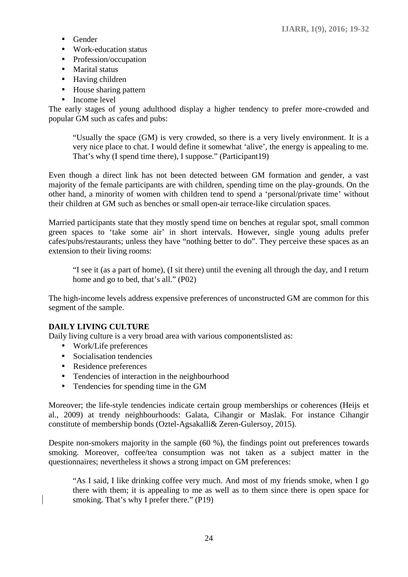- Gender
- Work-education status
- Profession/occupation
- Marital status
- Having children
- House sharing pattern
- Income level

The early stages of young adulthood display a higher tendency to prefer more-crowded and popular GM such as cafes and pubs:

"Usually the space (GM) is very crowded, so there is a very lively environment. It is a very nice place to chat. I would define it somewhat 'alive', the energy is appealing to me. That's why (I spend time there), I suppose." (Participant19)

Even though a direct link has not been detected between GM formation and gender, a vast majority of the female participants are with children, spending time on the play-grounds. On the other hand, a minority of women with children tend to spend a 'personal/private time' without their children at GM such as benches or small open-air terrace-like circulation spaces.

Married participants state that they mostly spend time on benches at regular spot, small common green spaces to 'take some air' in short intervals. However, single young adults prefer cafes/pubs/restaurants; unless they have "nothing better to do". They perceive these spaces as an extension to their living rooms:

"I see it (as a part of home), (I sit there) until the evening all through the day, and I return home and go to bed, that's all." (P02)

The high-income levels address expensive preferences of unconstructed GM are common for this segment of the sample.

## **DAILY LIVING CULTURE**

Daily living culture is a very broad area with various componentslisted as:

- Work/Life preferences
- Socialisation tendencies
- Residence preferences
- Tendencies of interaction in the neighbourhood
- Tendencies for spending time in the GM

Moreover; the life-style tendencies indicate certain group memberships or coherences (Heijs et al., 2009) at trendy neighbourhoods: Galata, Cihangir or Maslak. For instance Cihangir constitute of membership bonds (Oztel-Agsakalli& Zeren-Gulersoy, 2015).

Despite non-smokers majority in the sample (60 %), the findings point out preferences towards smoking. Moreover, coffee/tea consumption was not taken as a subject matter in the questionnaires; nevertheless it shows a strong impact on GM preferences:

"As I said, I like drinking coffee very much. And most of my friends smoke, when I go there with them; it is appealing to me as well as to them since there is open space for smoking. That's why I prefer there." (P19)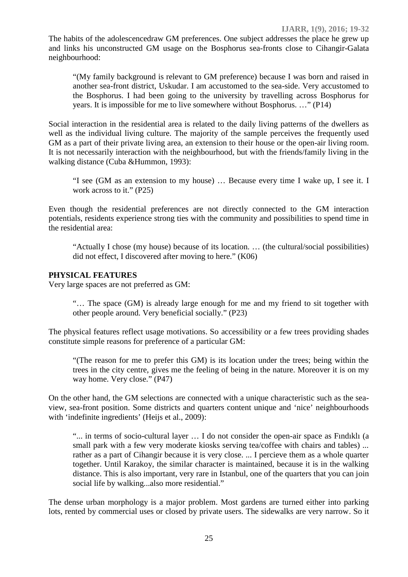The habits of the adolescencedraw GM preferences. One subject addresses the place he grew up and links his unconstructed GM usage on the Bosphorus sea-fronts close to Cihangir-Galata neighbourhood:

"(My family background is relevant to GM preference) because I was born and raised in another sea-front district, Uskudar. I am accustomed to the sea-side. Very accustomed to the Bosphorus. I had been going to the university by travelling across Bosphorus for years. It is impossible for me to live somewhere without Bosphorus. …" (P14)

Social interaction in the residential area is related to the daily living patterns of the dwellers as well as the individual living culture. The majority of the sample perceives the frequently used GM as a part of their private living area, an extension to their house or the open-air living room. It is not necessarily interaction with the neighbourhood, but with the friends/family living in the walking distance (Cuba &Hummon, 1993):

"I see (GM as an extension to my house) … Because every time I wake up, I see it. I work across to it." (P25)

Even though the residential preferences are not directly connected to the GM interaction potentials, residents experience strong ties with the community and possibilities to spend time in the residential area:

"Actually I chose (my house) because of its location. … (the cultural/social possibilities) did not effect, I discovered after moving to here." (K06)

#### **PHYSICAL FEATURES**

Very large spaces are not preferred as GM:

"… The space (GM) is already large enough for me and my friend to sit together with other people around. Very beneficial socially." (P23)

The physical features reflect usage motivations. So accessibility or a few trees providing shades constitute simple reasons for preference of a particular GM:

"(The reason for me to prefer this GM) is its location under the trees; being within the trees in the city centre, gives me the feeling of being in the nature. Moreover it is on my way home. Very close." (P47)

On the other hand, the GM selections are connected with a unique characteristic such as the sea view, sea-front position. Some districts and quarters content unique and 'nice' neighbourhoods with 'indefinite ingredients' (Heijs et al., 2009):

"... in terms of socio-cultural layer ... I do not consider the open-air space as Findikli (a small park with a few very moderate kiosks serving tea/coffee with chairs and tables) ... rather as a part of Cihangir because it is very close. ... I percieve them as a whole quarter together. Until Karakoy, the similar character is maintained, because it is in the walking distance. This is also important, very rare in Istanbul, one of the quarters that you can join social life by walking...also more residential."

The dense urban morphology is a major problem. Most gardens are turned either into parking lots, rented by commercial uses or closed by private users. The sidewalks are very narrow. So it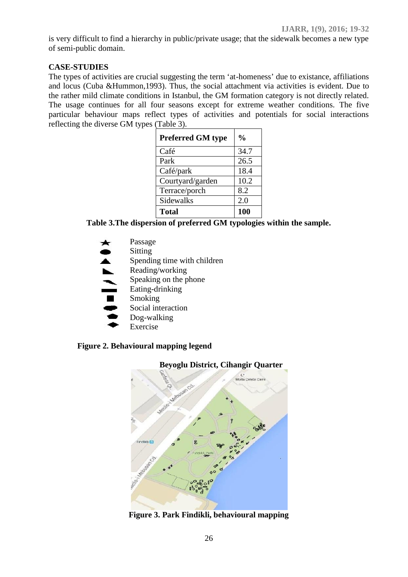is very difficult to find a hierarchy in public/private usage; that the sidewalk becomes a new type of semi-public domain.

#### **CASE-STUDIES**

The types of activities are crucial suggesting the term 'at-homeness' due to existance, affiliations and locus (Cuba &Hummon,1993). Thus, the social attachment via activities is evident. Due to the rather mild climate conditions in Istanbul, the GM formation category is not directly related. The usage continues for all four seasons except for extreme weather conditions. The five particular behaviour maps reflect types of activities and potentials for social interactions reflecting the diverse GM types (Table 3).

| <b>Preferred GM type</b> | $\frac{0}{0}$ |  |
|--------------------------|---------------|--|
| Café                     | 34.7          |  |
| Park                     | 26.5          |  |
| Café/park                | 18.4          |  |
| Courtyard/garden         | 10.2          |  |
| Terrace/porch            | 8.2           |  |
| Sidewalks                | 2.0           |  |
| <b>Total</b>             | 100           |  |

**Table 3.The dispersion of preferred GM typologies within the sample.**

Passage  $\frac{1}{1}$ Sitting Spending time with children Reading/working Speaking on the phone Eating-drinking Smoking Social interaction Dog-walking Exercise

## **Figure 2. Behavioural mapping legend**



**Figure 3. Park Findikli, behavioural mapping**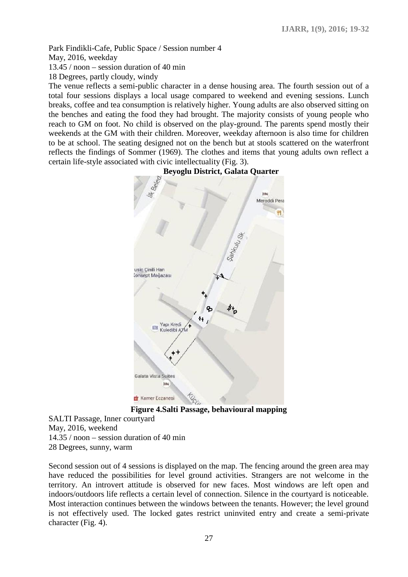Park Findikli-Cafe, Public Space / Session number 4

May, 2016, weekday

13.45 / noon – session duration of 40 min

18 Degrees, partly cloudy, windy

The venue reflects a semi-public character in a dense housing area. The fourth session out of a total four sessions displays a local usage compared to weekend and evening sessions. Lunch breaks, coffee and tea consumption is relatively higher. Young adults are also observed sitting on the benches and eating the food they had brought. The majority consists of young people who reach to GM on foot. No child is observed on the play-ground. The parents spend mostly their weekends at the GM with their children. Moreover, weekday afternoon is also time for children to be at school. The seating designed not on the bench but at stools scattered on the waterfront reflects the findings of Sommer (1969). The clothes and items that young adults own reflect a certain life-style associated with civic intellectuality (Fig. 3).



## **Beyoglu District, Galata Quarter**

**Figure 4.Salti Passage, behavioural mapping**

SALTI Passage, Inner courtyard May, 2016, weekend 14.35 / noon – session duration of 40 min 28 Degrees, sunny, warm

Second session out of 4 sessions is displayed on the map. The fencing around the green area may have reduced the possibilities for level ground activities. Strangers are not welcome in the territory. An introvert attitude is observed for new faces. Most windows are left open and indoors/outdoors life reflects a certain level of connection. Silence in the courtyard is noticeable. Most interaction continues between the windows between the tenants. However; the level ground is not effectively used. The locked gates restrict uninvited entry and create a semi-private character (Fig. 4).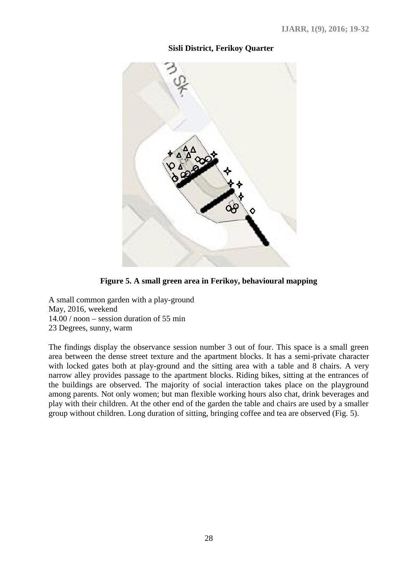## **Sisli District, Ferikoy Quarter**



**Figure 5. A small green area in Ferikoy, behavioural mapping**

A small common garden with a play-ground May, 2016, weekend 14.00 / noon – session duration of 55 min 23 Degrees, sunny, warm

The findings display the observance session number 3 out of four. This space is a small green area between the dense street texture and the apartment blocks. It has a semi-private character with locked gates both at play-ground and the sitting area with a table and 8 chairs. A very narrow alley provides passage to the apartment blocks. Riding bikes, sitting at the entrances of the buildings are observed. The majority of social interaction takes place on the playground among parents. Not only women; but man flexible working hours also chat, drink beverages and play with their children. At the other end of the garden the table and chairs are used by a smaller group without children. Long duration of sitting, bringing coffee and tea are observed (Fig. 5).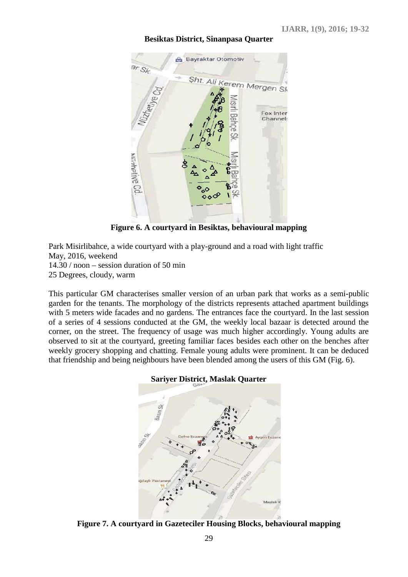#### **Besiktas District, Sinanpasa Quarter**



**Figure 6. A courtyard in Besiktas, behavioural mapping**

Park Misirlibahce, a wide courtyard with a play-ground and a road with light traffic May, 2016, weekend 14.30 / noon – session duration of 50 min 25 Degrees, cloudy, warm

This particular GM characterises smaller version of an urban park that works as a semi-public garden for the tenants. The morphology of the districts represents attached apartment buildings with 5 meters wide facades and no gardens. The entrances face the courtyard. In the last session of a series of 4 sessions conducted at the GM, the weekly local bazaar is detected around the corner, on the street. The frequency of usage was much higher accordingly. Young adults are observed to sit at the courtyard, greeting familiar faces besides each other on the benches after weekly grocery shopping and chatting. Female young adults were prominent. It can be deduced that friendship and being neighbours have been blended among the users of this GM (Fig. 6).

#### **Sariyer District, Maslak Quarter**



**Figure 7. A courtyard in Gazeteciler Housing Blocks, behavioural mapping**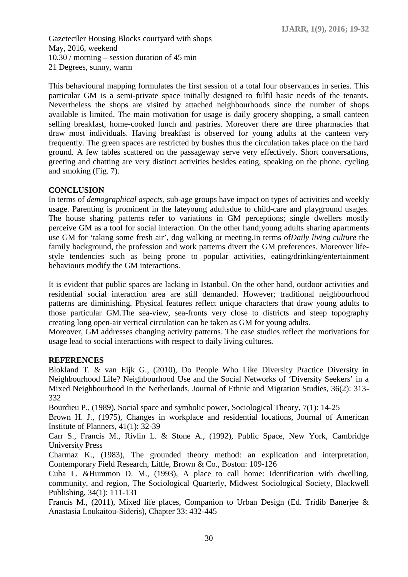Gazeteciler Housing Blocks courtyard with shops May, 2016, weekend 10.30 / morning – session duration of 45 min 21 Degrees, sunny, warm

This behavioural mapping formulates the first session of a total four observances in series. This particular GM is a semi-private space initially designed to fulfil basic needs of the tenants. Nevertheless the shops are visited by attached neighbourhoods since the number of shops available is limited. The main motivation for usage is daily grocery shopping, a small canteen selling breakfast, home-cooked lunch and pastries. Moreover there are three pharmacies that draw most individuals. Having breakfast is observed for young adults at the canteen very frequently. The green spaces are restricted by bushes thus the circulation takes place on the hard ground. A few tables scattered on the passageway serve very effectively. Short conversations, greeting and chatting are very distinct activities besides eating, speaking on the phone, cycling and smoking (Fig. 7).

## **CONCLUSION**

In terms of *demographical aspects,* sub-age groups have impact on types of activities and weekly usage. Parenting is prominent in the lateyoung adultsdue to child-care and playground usages. The house sharing patterns refer to variations in GM perceptions; single dwellers mostly perceive GM as a tool for social interaction. On the other hand;young adults sharing apartments use GM for 'taking some fresh air', dog walking or meeting.In terms of*Daily living culture* the family background, the profession and work patterns divert the GM preferences. Moreover life style tendencies such as being prone to popular activities, eating/drinking/entertainment behaviours modify the GM interactions.

It is evident that public spaces are lacking in Istanbul. On the other hand, outdoor activities and residential social interaction area are still demanded. However; traditional neighbourhood patterns are diminishing. Physical features reflect unique characters that draw young adults to those particular GM.The sea-view, sea-fronts very close to districts and steep topography creating long open-air vertical circulation can be taken as GM for young adults.

Moreover, GM addresses changing activity patterns. The case studies reflect the motivations for usage lead to social interactions with respect to daily living cultures.

#### **REFERENCES**

Blokland T. & van Eijk G., (2010), Do People Who Like Diversity Practice Diversity in Neighbourhood Life? Neighbourhood Use and the Social Networks of 'Diversity Seekers' in a Mixed Neighbourhood in the Netherlands, Journal of Ethnic and Migration Studies, 36(2): 313- 332

Bourdieu P., (1989), Social space and symbolic power, Sociological Theory, 7(1): 14-25

Brown H. J., (1975), Changes in workplace and residential locations, Journal of American Institute of Planners, 41(1): 32-39

Carr S., Francis M., Rivlin L. & Stone A., (1992), Public Space, New York, Cambridge University Press

Charmaz K., (1983), The grounded theory method: an explication and interpretation, Contemporary Field Research, Little, Brown & Co., Boston: 109-126

Cuba L. &Hummon D. M., (1993), A place to call home: Identification with dwelling, community, and region, The Sociological Quarterly, Midwest Sociological Society, Blackwell Publishing, 34(1): 111-131

Francis M., (2011), Mixed life places, Companion to Urban Design (Ed. Tridib Banerjee & Anastasia Loukaitou-Sideris), Chapter 33: 432-445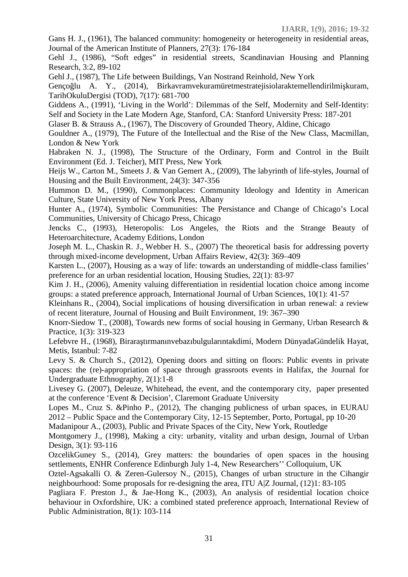Gans H. J., (1961), The balanced community: homogeneity or heterogeneity in residential areas, Journal of the American Institute of Planners, 27(3): 176-184

Gehl J., (1986), "Soft edges" in residential streets, Scandinavian Housing and Planning Research, 3:2, 89-102

Gehl J., (1987), The Life between Buildings, Van Nostrand Reinhold, New York

Genço lu A. Y., (2014), Birkavramvekuramüretmestratejisiolaraktemellendirilmi kuram, TarihOkuluDergisi (TOD), 7(17): 681-700

Giddens A., (1991), 'Living in the World': Dilemmas of the Self, Modernity and Self-Identity: Self and Society in the Late Modern Age, Stanford, CA: Stanford University Press: 187-201

Glaser B. & Strauss A., (1967), The Discovery of Grounded Theory, Aldine, Chicago

Gouldner A., (1979), The Future of the Intellectual and the Rise of the New Class, Macmillan, London & New York

Habraken N. J., (1998), The Structure of the Ordinary, Form and Control in the Built Environment (Ed. J. Teicher), MIT Press, New York

Heijs W., Carton M., Smeets J. & Van Gemert A., (2009), The labyrinth of life-styles, Journal of Housing and the Built Environment, 24(3): 347-356

Hummon D. M., (1990), Commonplaces: Community Ideology and Identity in American Culture, State University of New York Press, Albany

Hunter A., (1974), Symbolic Communities: The Persistance and Change of Chicago's Local Communities, University of Chicago Press, Chicago

Jencks C., (1993), Heteropolis: Los Angeles, the Riots and the Strange Beauty of Heteroarchitecture, Academy Editions, London

Joseph M. L., Chaskin R. J., Webber H. S., (2007) The theoretical basis for addressing poverty through mixed-income development, Urban Affairs Review, 42(3): 369–409

Karsten L., (2007), Housing as a way of life: towards an understanding of middle-class families' preference for an urban residential location, Housing Studies, 22(1): 83-97

Kim J. H., (2006), Amenity valuing differentiation in residential location choice among income groups: a stated preference approach, International Journal of Urban Sciences, 10(1): 41-57

Kleinhans R., (2004), Social implications of housing diversification in urban renewal: a review of recent literature, Journal of Housing and Built Environment, 19: 367–390

Knorr-Siedow T., (2008), Towards new forms of social housing in Germany, Urban Research & Practice, 1(3): 319-323

Lefebvre H., (1968), Birara tırmanınvebazıbulgularıntakdimi, Modern DünyadaGündelik Hayat, Metis, Istanbul: 7-82

Levy S. & Church S., (2012), Opening doors and sitting on floors: Public events in private spaces: the (re)-appropriation of space through grassroots events in Halifax, the Journal for Undergraduate Ethnography, 2(1):1-8

Livesey G. (2007), Deleuze, Whitehead, the event, and the contemporary city, paper presented at the conference 'Event & Decision', Claremont Graduate University

Lopes M., Cruz S. &Pinho P., (2012), The changing publicness of urban spaces, in EURAU 2012 – Public Space and the Contemporary City, 12-15 September, Porto, Portugal, pp 10-20

Madanipour A., (2003), Public and Private Spaces of the City, New York, Routledge

Montgomery J., (1998), Making a city: urbanity, vitality and urban design, Journal of Urban Design, 3(1): 93-116

OzcelikGuney S., (2014), Grey matters: the boundaries of open spaces in the housing settlements, ENHR Conference Edinburgh July 1-4, New Researchers'' Colloquium, UK

Oztel-Agsakalli O. & Zeren-Gulersoy N., (2015), Changes of urban structure in the Cihangir neighbourhood: Some proposals for re-designing the area, ITU A|Z Journal, (12)1: 83-105

Pagliara F. Preston J., & Jae-Hong K., (2003), An analysis of residential location choice behaviour in Oxfordshire, UK: a combined stated preference approach, International Review of Public Administration, 8(1): 103-114